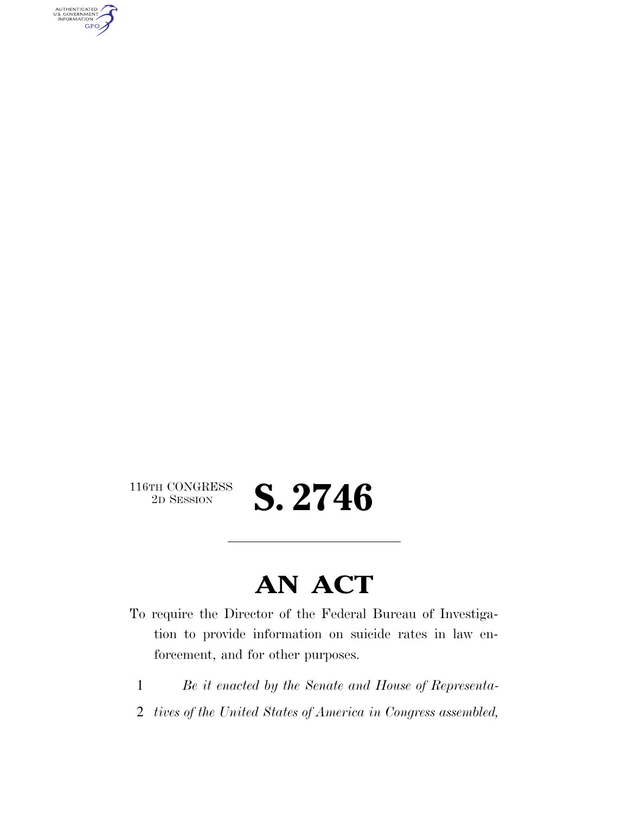AUTHENTICATED<br>U.S. GOVERNMENT<br>INFORMATION GPO

116TH CONGRESS<br>2D SESSION

2D SESSION **S. 2746** 

## **AN ACT**

- To require the Director of the Federal Bureau of Investigation to provide information on suicide rates in law enforcement, and for other purposes.
	- 1 *Be it enacted by the Senate and House of Representa-*
	- 2 *tives of the United States of America in Congress assembled,*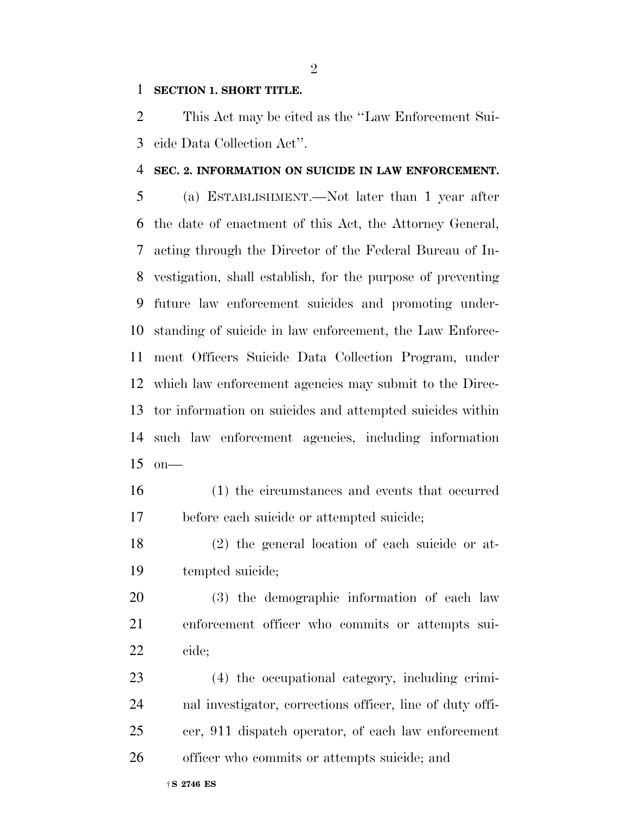## **SECTION 1. SHORT TITLE.**

 This Act may be cited as the ''Law Enforcement Sui-cide Data Collection Act''.

## **SEC. 2. INFORMATION ON SUICIDE IN LAW ENFORCEMENT.**

 (a) ESTABLISHMENT.—Not later than 1 year after the date of enactment of this Act, the Attorney General, acting through the Director of the Federal Bureau of In- vestigation, shall establish, for the purpose of preventing future law enforcement suicides and promoting under- standing of suicide in law enforcement, the Law Enforce- ment Officers Suicide Data Collection Program, under which law enforcement agencies may submit to the Direc- tor information on suicides and attempted suicides within such law enforcement agencies, including information on—

- (1) the circumstances and events that occurred before each suicide or attempted suicide;
- (2) the general location of each suicide or at-tempted suicide;

 (3) the demographic information of each law enforcement officer who commits or attempts sui-cide;

 (4) the occupational category, including crimi- nal investigator, corrections officer, line of duty offi- cer, 911 dispatch operator, of each law enforcement officer who commits or attempts suicide; and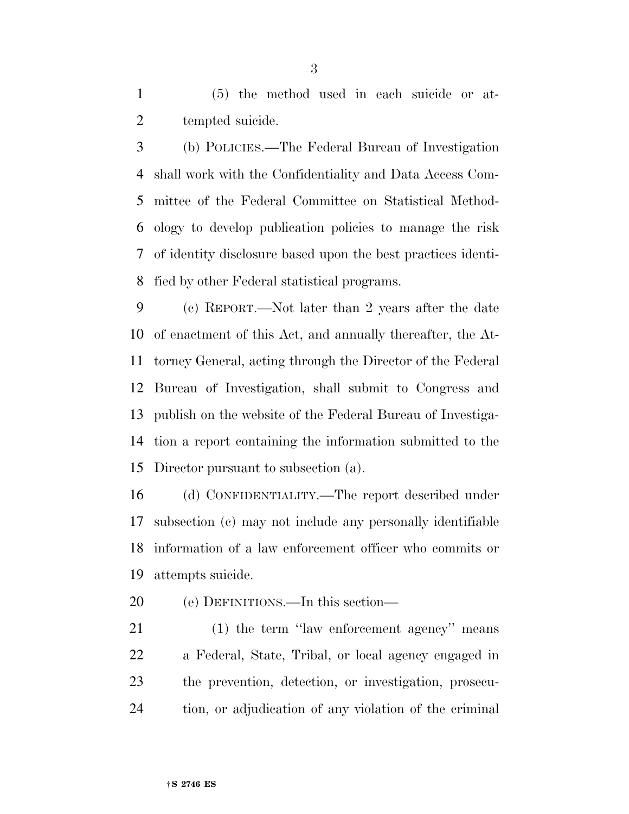(5) the method used in each suicide or at-2 tempted suicide.

 (b) POLICIES.—The Federal Bureau of Investigation shall work with the Confidentiality and Data Access Com- mittee of the Federal Committee on Statistical Method- ology to develop publication policies to manage the risk of identity disclosure based upon the best practices identi-fied by other Federal statistical programs.

 (c) REPORT.—Not later than 2 years after the date of enactment of this Act, and annually thereafter, the At- torney General, acting through the Director of the Federal Bureau of Investigation, shall submit to Congress and publish on the website of the Federal Bureau of Investiga- tion a report containing the information submitted to the Director pursuant to subsection (a).

 (d) CONFIDENTIALITY.—The report described under subsection (c) may not include any personally identifiable information of a law enforcement officer who commits or attempts suicide.

(e) DEFINITIONS.—In this section—

21 (1) the term "law enforcement agency" means a Federal, State, Tribal, or local agency engaged in the prevention, detection, or investigation, prosecu-tion, or adjudication of any violation of the criminal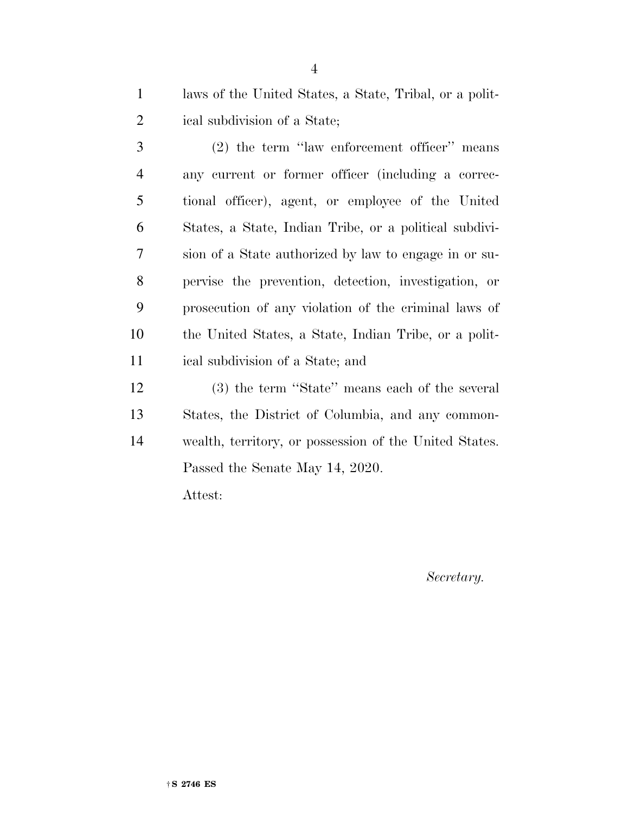laws of the United States, a State, Tribal, or a polit-ical subdivision of a State;

 (2) the term ''law enforcement officer'' means any current or former officer (including a correc- tional officer), agent, or employee of the United States, a State, Indian Tribe, or a political subdivi- sion of a State authorized by law to engage in or su- pervise the prevention, detection, investigation, or prosecution of any violation of the criminal laws of the United States, a State, Indian Tribe, or a polit-ical subdivision of a State; and

 (3) the term ''State'' means each of the several States, the District of Columbia, and any common- wealth, territory, or possession of the United States. Passed the Senate May 14, 2020. Attest:

*Secretary.*